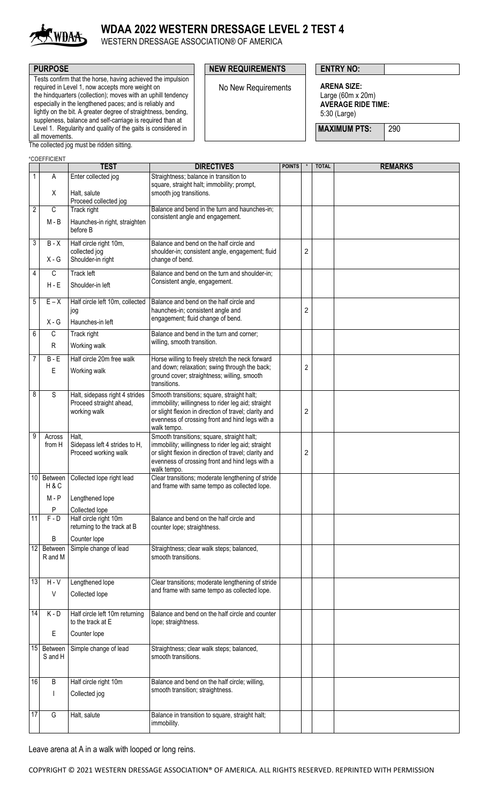

## **WDAA 2022 WESTERN DRESSAGE LEVEL 2 TEST 4**

WESTERN DRESSAGE ASSOCIATION® OF AMERICA

Tests confirm that the horse, having achieved the impulsion required in Level 1, now accepts more weight on the hindquarters (collection); moves with an uphill tendency especially in the lengthened paces; and is reliably and lightly on the bit. A greater degree of straightness, bending, suppleness, balance and self-carriage is required than at Level 1. Regularity and quality of the gaits is considered in all movements.

### **PURPOSE PURPOSE PURPOSE NEW REQUIREMENTS ENTRY NO:**

No New Requirements **ARENA SIZE:**

Large (60m x 20m) **AVERAGE RIDE TIME:** 5:30 (Large)

**MAXIMUM PTS:** 290

The collected jog must be ridden sitting.

|                 | *COEFFICIENT       |                                                      |                                                                                                          |               |                |              |                |
|-----------------|--------------------|------------------------------------------------------|----------------------------------------------------------------------------------------------------------|---------------|----------------|--------------|----------------|
|                 |                    | <b>TEST</b>                                          | <b>DIRECTIVES</b>                                                                                        | <b>POINTS</b> |                | <b>TOTAL</b> | <b>REMARKS</b> |
| 1               | Α                  | Enter collected jog                                  | Straightness; balance in transition to                                                                   |               |                |              |                |
|                 |                    |                                                      | square, straight halt; immobility; prompt,                                                               |               |                |              |                |
|                 | X                  | Halt, salute<br>Proceed collected jog                | smooth jog transitions.                                                                                  |               |                |              |                |
| $\overline{2}$  | С                  | Track right                                          | Balance and bend in the turn and haunches-in;                                                            |               |                |              |                |
|                 | M - B              | Haunches-in right, straighten<br>before B            | consistent angle and engagement.                                                                         |               |                |              |                |
| 3               | $B - X$            | Half circle right 10m,                               | Balance and bend on the half circle and                                                                  |               |                |              |                |
|                 | $X - G$            | collected jog<br>Shoulder-in right                   | shoulder-in; consistent angle, engagement; fluid<br>change of bend.                                      |               | $\overline{2}$ |              |                |
| $\overline{4}$  | С                  | <b>Track left</b>                                    | Balance and bend on the turn and shoulder-in;                                                            |               |                |              |                |
|                 | $H - E$            | Shoulder-in left                                     | Consistent angle, engagement.                                                                            |               |                |              |                |
| $\overline{5}$  | $E - X$            | Half circle left 10m, collected                      | Balance and bend on the half circle and                                                                  |               |                |              |                |
|                 |                    | jog                                                  | haunches-in; consistent angle and                                                                        |               | $\overline{2}$ |              |                |
|                 | $X - G$            | Haunches-in left                                     | engagement; fluid change of bend.                                                                        |               |                |              |                |
| 6               | $\overline{C}$     | Track right                                          | Balance and bend in the turn and corner;                                                                 |               |                |              |                |
|                 | R                  | Working walk                                         | willing, smooth transition.                                                                              |               |                |              |                |
| $\overline{7}$  | $\overline{B}$ - E | Half circle 20m free walk                            | Horse willing to freely stretch the neck forward                                                         |               |                |              |                |
|                 | E                  | Working walk                                         | and down; relaxation; swing through the back;                                                            |               | $\overline{2}$ |              |                |
|                 |                    |                                                      | ground cover; straightness; willing, smooth<br>transitions.                                              |               |                |              |                |
| 8               | $\overline{s}$     | Halt, sidepass right 4 strides                       | Smooth transitions; square, straight halt;                                                               |               |                |              |                |
|                 |                    | Proceed straight ahead,                              | immobility; willingness to rider leg aid; straight                                                       |               |                |              |                |
|                 |                    | working walk                                         | or slight flexion in direction of travel; clarity and                                                    |               | $\overline{c}$ |              |                |
|                 |                    |                                                      | evenness of crossing front and hind legs with a<br>walk tempo.                                           |               |                |              |                |
| 9               | Across             | Halt,                                                | Smooth transitions; square, straight halt;                                                               |               |                |              |                |
|                 | from H             | Sidepass left 4 strides to H,                        | immobility; willingness to rider leg aid; straight                                                       |               |                |              |                |
|                 |                    | Proceed working walk                                 | or slight flexion in direction of travel; clarity and<br>evenness of crossing front and hind legs with a |               | $\overline{2}$ |              |                |
|                 |                    |                                                      | walk tempo.                                                                                              |               |                |              |                |
| 10 <sup>1</sup> | Between            | Collected lope right lead                            | Clear transitions; moderate lengthening of stride                                                        |               |                |              |                |
|                 | H&C                |                                                      | and frame with same tempo as collected lope.                                                             |               |                |              |                |
|                 | $M - P$            | Lengthened lope                                      |                                                                                                          |               |                |              |                |
|                 | P                  | Collected lope                                       |                                                                                                          |               |                |              |                |
| 11              | $F - D$            | Half circle right 10m<br>returning to the track at B | Balance and bend on the half circle and<br>counter lope; straightness.                                   |               |                |              |                |
|                 | B                  | Counter lope                                         |                                                                                                          |               |                |              |                |
| $\overline{12}$ | Between            | Simple change of lead                                | Straightness; clear walk steps; balanced,                                                                |               |                |              |                |
|                 | R and M            |                                                      | smooth transitions.                                                                                      |               |                |              |                |
|                 |                    |                                                      |                                                                                                          |               |                |              |                |
| 13              | $H - V$            | Lengthened lope                                      | Clear transitions; moderate lengthening of stride                                                        |               |                |              |                |
|                 | $\sf V$            | Collected lope                                       | and frame with same tempo as collected lope.                                                             |               |                |              |                |
|                 |                    |                                                      |                                                                                                          |               |                |              |                |
| 14              | $K - D$            | Half circle left 10m returning                       | Balance and bend on the half circle and counter                                                          |               |                |              |                |
|                 |                    | to the track at E                                    | lope; straightness.                                                                                      |               |                |              |                |
|                 | Е                  | Counter lope                                         |                                                                                                          |               |                |              |                |
|                 | 15 Between         | Simple change of lead                                | Straightness; clear walk steps; balanced,                                                                |               |                |              |                |
|                 | S and H            |                                                      | smooth transitions.                                                                                      |               |                |              |                |
|                 |                    |                                                      |                                                                                                          |               |                |              |                |
| 16              | B                  | Half circle right 10m                                | Balance and bend on the half circle; willing,                                                            |               |                |              |                |
|                 |                    | Collected jog                                        | smooth transition; straightness.                                                                         |               |                |              |                |
|                 |                    |                                                      |                                                                                                          |               |                |              |                |
| 17              | G                  | Halt, salute                                         | Balance in transition to square, straight halt;                                                          |               |                |              |                |
|                 |                    |                                                      | immobility.                                                                                              |               |                |              |                |

Leave arena at A in a walk with looped or long reins.